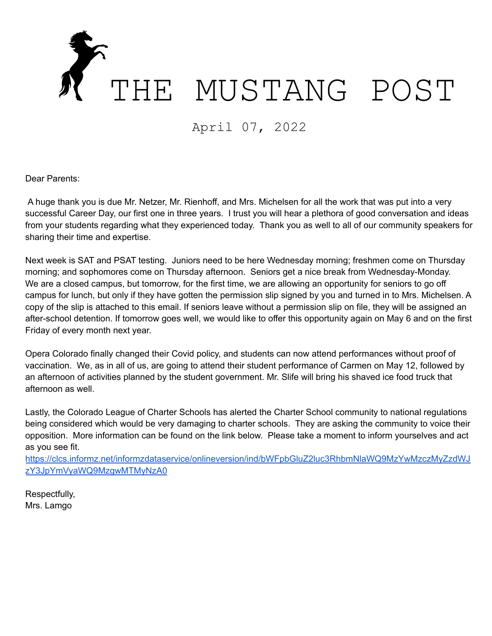

April 07, 2022

Dear Parents:

A huge thank you is due Mr. Netzer, Mr. Rienhoff, and Mrs. Michelsen for all the work that was put into a very successful Career Day, our first one in three years. I trust you will hear a plethora of good conversation and ideas from your students regarding what they experienced today. Thank you as well to all of our community speakers for sharing their time and expertise.

Next week is SAT and PSAT testing. Juniors need to be here Wednesday morning; freshmen come on Thursday morning; and sophomores come on Thursday afternoon. Seniors get a nice break from Wednesday-Monday. We are a closed campus, but tomorrow, for the first time, we are allowing an opportunity for seniors to go off campus for lunch, but only if they have gotten the permission slip signed by you and turned in to Mrs. Michelsen. A copy of the slip is attached to this email. If seniors leave without a permission slip on file, they will be assigned an after-school detention. If tomorrow goes well, we would like to offer this opportunity again on May 6 and on the first Friday of every month next year.

Opera Colorado finally changed their Covid policy, and students can now attend performances without proof of vaccination. We, as in all of us, are going to attend their student performance of Carmen on May 12, followed by an afternoon of activities planned by the student government. Mr. Slife will bring his shaved ice food truck that afternoon as well.

Lastly, the Colorado League of Charter Schools has alerted the Charter School community to national regulations being considered which would be very damaging to charter schools. They are asking the community to voice their opposition. More information can be found on the link below. Please take a moment to inform yourselves and act as you see fit.

[https://clcs.informz.net/informzdataservice/onlineversion/ind/bWFpbGluZ2luc3RhbmNlaWQ9MzYwMzczMyZzdWJ](https://clcs.informz.net/informzdataservice/onlineversion/ind/bWFpbGluZ2luc3RhbmNlaWQ9MzYwMzczMyZzdWJzY3JpYmVyaWQ9MzgwMTMyNzA0) [zY3JpYmVyaWQ9MzgwMTMyNzA0](https://clcs.informz.net/informzdataservice/onlineversion/ind/bWFpbGluZ2luc3RhbmNlaWQ9MzYwMzczMyZzdWJzY3JpYmVyaWQ9MzgwMTMyNzA0)

Respectfully, Mrs. Lamgo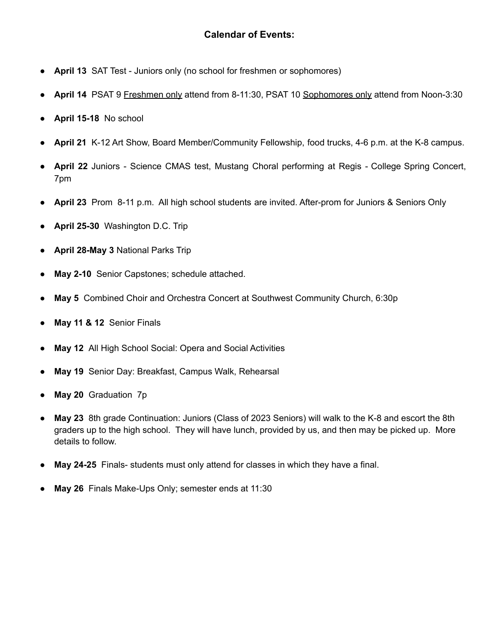## **Calendar of Events:**

- **April 13** SAT Test Juniors only (no school for freshmen or sophomores)
- **April 14** PSAT 9 Freshmen only attend from 8-11:30, PSAT 10 Sophomores only attend from Noon-3:30
- **April 15-18** No school
- **April 21** K-12 Art Show, Board Member/Community Fellowship, food trucks, 4-6 p.m. at the K-8 campus.
- **April 22** Juniors Science CMAS test, Mustang Choral performing at Regis College Spring Concert, 7pm
- **April 23** Prom 8-11 p.m. All high school students are invited. After-prom for Juniors & Seniors Only
- **April 25-30** Washington D.C. Trip
- **April 28-May 3** National Parks Trip
- **May 2-10** Senior Capstones; schedule attached.
- **May 5** Combined Choir and Orchestra Concert at Southwest Community Church, 6:30p
- **May 11 & 12** Senior Finals
- **May 12** All High School Social: Opera and Social Activities
- **May 19** Senior Day: Breakfast, Campus Walk, Rehearsal
- **May 20** Graduation 7p
- **May 23** 8th grade Continuation: Juniors (Class of 2023 Seniors) will walk to the K-8 and escort the 8th graders up to the high school. They will have lunch, provided by us, and then may be picked up. More details to follow.
- **May 24-25** Finals- students must only attend for classes in which they have a final.
- **May 26** Finals Make-Ups Only; semester ends at 11:30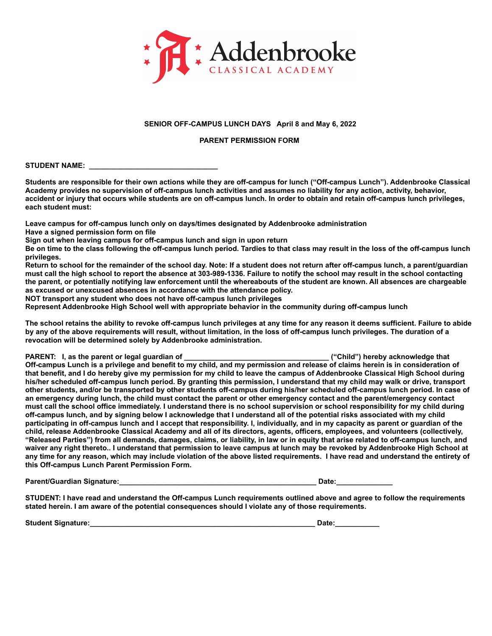

## **SENIOR OFF-CAMPUS LUNCH DAYS April 8 and May 6, 2022**

## **PARENT PERMISSION FORM**

STUDENT NAME:

**Students are responsible for their own actions while they are off-campus for lunch ("Off-campus Lunch"). Addenbrooke Classical Academy provides no supervision of off-campus lunch activities and assumes no liability for any action, activity, behavior, accident or injury that occurs while students are on off-campus lunch. In order to obtain and retain off-campus lunch privileges, each student must:**

**Leave campus for off-campus lunch only on days/times designated by Addenbrooke administration Have a signed permission form on file**

**Sign out when leaving campus for off-campus lunch and sign in upon return**

**Be on time to the class following the off-campus lunch period. Tardies to that class may result in the loss of the off-campus lunch privileges.**

**Return to school for the remainder of the school day. Note: If a student does not return after off-campus lunch, a parent/guardian must call the high school to report the absence at 303-989-1336. Failure to notify the school may result in the school contacting the parent, or potentially notifying law enforcement until the whereabouts of the student are known. All absences are chargeable as excused or unexcused absences in accordance with the attendance policy.**

**NOT transport any student who does not have off-campus lunch privileges**

**Represent Addenbrooke High School well with appropriate behavior in the community during off-campus lunch**

**The school retains the ability to revoke off-campus lunch privileges at any time for any reason it deems sufficient. Failure to abide by any of the above requirements will result, without limitation, in the loss of off-campus lunch privileges. The duration of a revocation will be determined solely by Addenbrooke administration.**

**PARENT: I, as the parent or legal guardian of \_\_\_\_\_\_\_\_\_\_\_\_\_\_\_\_\_\_\_\_\_\_\_\_\_\_\_\_\_\_\_\_\_\_\_\_ ("Child") hereby acknowledge that Off-campus Lunch is a privilege and benefit to my child, and my permission and release of claims herein is in consideration of that benefit, and I do hereby give my permission for my child to leave the campus of Addenbrooke Classical High School during his/her scheduled off-campus lunch period. By granting this permission, I understand that my child may walk or drive, transport other students, and/or be transported by other students off-campus during his/her scheduled off-campus lunch period. In case of an emergency during lunch, the child must contact the parent or other emergency contact and the parent/emergency contact must call the school office immediately. I understand there is no school supervision or school responsibility for my child during off-campus lunch, and by signing below I acknowledge that I understand all of the potential risks associated with my child participating in off-campus lunch and I accept that responsibility. I, individually, and in my capacity as parent or guardian of the child, release Addenbrooke Classical Academy and all of its directors, agents, officers, employees, and volunteers (collectively, "Released Parties") from all demands, damages, claims, or liability, in law or in equity that arise related to off-campus lunch, and waiver any right thereto.. I understand that permission to leave campus at lunch may be revoked by Addenbrooke High School at any time for any reason, which may include violation of the above listed requirements. I have read and understand the entirety of this Off-campus Lunch Parent Permission Form.**

**Parent/Guardian Signature:**  $\blacksquare$ 

**STUDENT: I have read and understand the Off-campus Lunch requirements outlined above and agree to follow the requirements stated herein. I am aware of the potential consequences should I violate any of those requirements.**

**Student Signature:**<br> **Student Signature:**